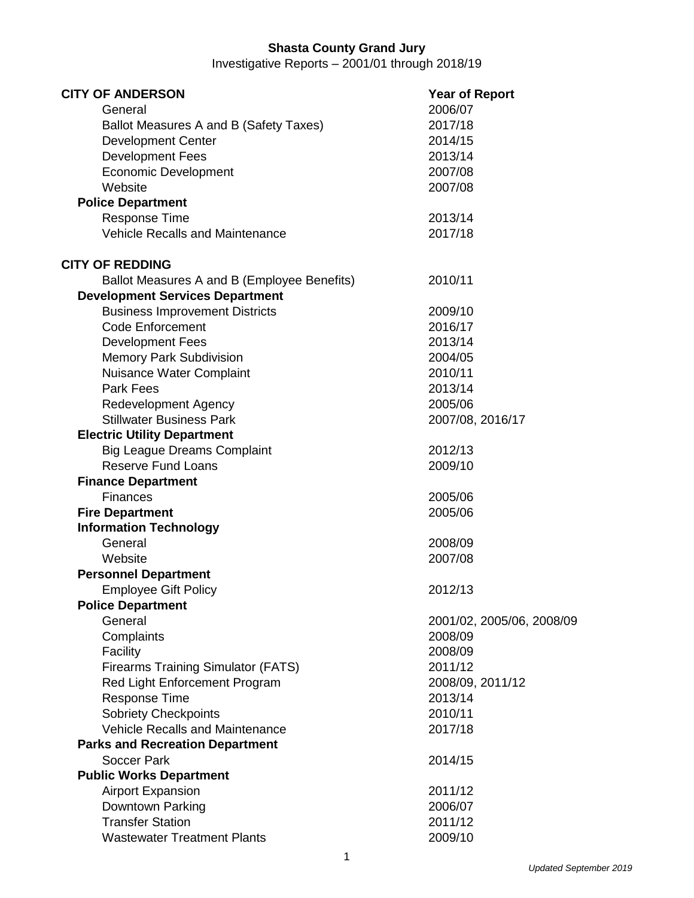## **Shasta County Grand Jury**

Investigative Reports – 2001/01 through 2018/19

| <b>CITY OF ANDERSON</b>                     | <b>Year of Report</b>     |  |
|---------------------------------------------|---------------------------|--|
| General                                     | 2006/07                   |  |
| Ballot Measures A and B (Safety Taxes)      | 2017/18                   |  |
| <b>Development Center</b>                   | 2014/15                   |  |
| <b>Development Fees</b>                     | 2013/14                   |  |
| <b>Economic Development</b>                 | 2007/08                   |  |
| Website                                     | 2007/08                   |  |
| <b>Police Department</b>                    |                           |  |
| <b>Response Time</b>                        | 2013/14                   |  |
| <b>Vehicle Recalls and Maintenance</b>      | 2017/18                   |  |
| <b>CITY OF REDDING</b>                      |                           |  |
| Ballot Measures A and B (Employee Benefits) | 2010/11                   |  |
| <b>Development Services Department</b>      |                           |  |
| <b>Business Improvement Districts</b>       | 2009/10                   |  |
| <b>Code Enforcement</b>                     | 2016/17                   |  |
| <b>Development Fees</b>                     | 2013/14                   |  |
| <b>Memory Park Subdivision</b>              | 2004/05                   |  |
| Nuisance Water Complaint                    | 2010/11                   |  |
| <b>Park Fees</b>                            | 2013/14                   |  |
| <b>Redevelopment Agency</b>                 | 2005/06                   |  |
| <b>Stillwater Business Park</b>             | 2007/08, 2016/17          |  |
| <b>Electric Utility Department</b>          |                           |  |
| <b>Big League Dreams Complaint</b>          | 2012/13                   |  |
| <b>Reserve Fund Loans</b>                   | 2009/10                   |  |
| <b>Finance Department</b>                   |                           |  |
| <b>Finances</b>                             | 2005/06                   |  |
| <b>Fire Department</b>                      | 2005/06                   |  |
| <b>Information Technology</b>               |                           |  |
| General                                     | 2008/09                   |  |
| Website                                     | 2007/08                   |  |
| <b>Personnel Department</b>                 |                           |  |
| <b>Employee Gift Policy</b>                 | 2012/13                   |  |
| <b>Police Department</b>                    |                           |  |
| General                                     | 2001/02, 2005/06, 2008/09 |  |
| Complaints                                  | 2008/09                   |  |
| Facility                                    | 2008/09                   |  |
| <b>Firearms Training Simulator (FATS)</b>   | 2011/12                   |  |
| Red Light Enforcement Program               | 2008/09, 2011/12          |  |
| <b>Response Time</b>                        | 2013/14                   |  |
| <b>Sobriety Checkpoints</b>                 | 2010/11                   |  |
| <b>Vehicle Recalls and Maintenance</b>      | 2017/18                   |  |
| <b>Parks and Recreation Department</b>      |                           |  |
| Soccer Park                                 | 2014/15                   |  |
| <b>Public Works Department</b>              |                           |  |
| <b>Airport Expansion</b>                    | 2011/12                   |  |
| Downtown Parking                            | 2006/07                   |  |
| <b>Transfer Station</b>                     | 2011/12                   |  |
| <b>Wastewater Treatment Plants</b>          | 2009/10                   |  |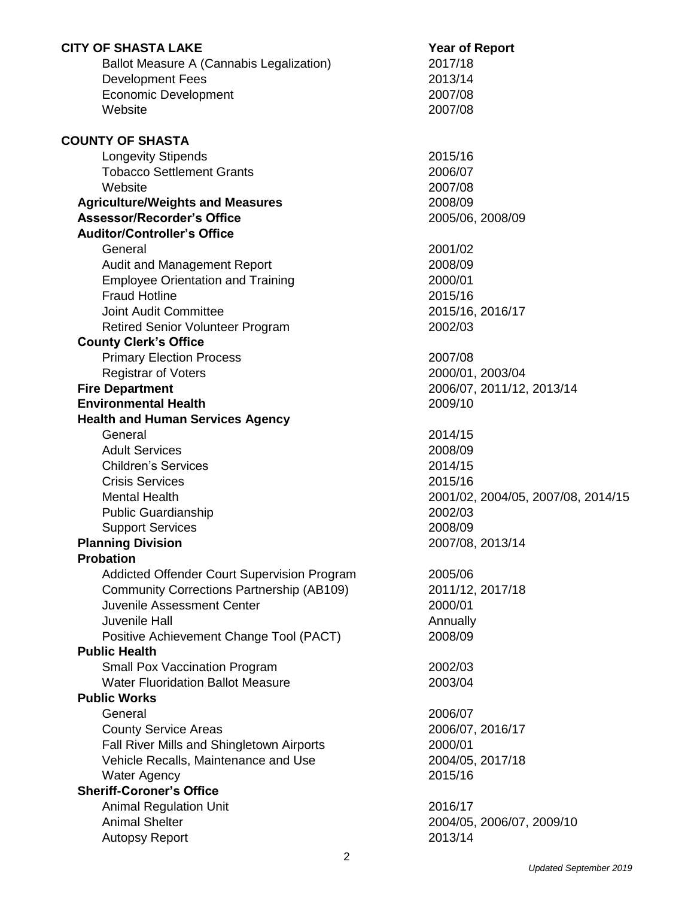| <b>CITY OF SHASTA LAKE</b>                       | <b>Year of Report</b>              |
|--------------------------------------------------|------------------------------------|
| Ballot Measure A (Cannabis Legalization)         | 2017/18                            |
| <b>Development Fees</b>                          | 2013/14                            |
| <b>Economic Development</b>                      | 2007/08                            |
| Website                                          | 2007/08                            |
| <b>COUNTY OF SHASTA</b>                          |                                    |
| <b>Longevity Stipends</b>                        | 2015/16                            |
| <b>Tobacco Settlement Grants</b>                 | 2006/07                            |
| Website                                          | 2007/08                            |
| <b>Agriculture/Weights and Measures</b>          | 2008/09                            |
| <b>Assessor/Recorder's Office</b>                | 2005/06, 2008/09                   |
| <b>Auditor/Controller's Office</b>               |                                    |
| General                                          | 2001/02                            |
| Audit and Management Report                      | 2008/09                            |
| <b>Employee Orientation and Training</b>         | 2000/01                            |
| <b>Fraud Hotline</b>                             | 2015/16                            |
| <b>Joint Audit Committee</b>                     | 2015/16, 2016/17                   |
| <b>Retired Senior Volunteer Program</b>          | 2002/03                            |
| <b>County Clerk's Office</b>                     |                                    |
| <b>Primary Election Process</b>                  | 2007/08                            |
| <b>Registrar of Voters</b>                       | 2000/01, 2003/04                   |
| <b>Fire Department</b>                           | 2006/07, 2011/12, 2013/14          |
| <b>Environmental Health</b>                      | 2009/10                            |
| <b>Health and Human Services Agency</b>          |                                    |
| General                                          | 2014/15                            |
| <b>Adult Services</b>                            | 2008/09                            |
| <b>Children's Services</b>                       | 2014/15                            |
| <b>Crisis Services</b>                           | 2015/16                            |
| <b>Mental Health</b>                             | 2001/02, 2004/05, 2007/08, 2014/15 |
| <b>Public Guardianship</b>                       | 2002/03                            |
| <b>Support Services</b>                          | 2008/09                            |
| <b>Planning Division</b>                         | 2007/08, 2013/14                   |
| <b>Probation</b>                                 |                                    |
| Addicted Offender Court Supervision Program      | 2005/06                            |
| <b>Community Corrections Partnership (AB109)</b> | 2011/12, 2017/18                   |
| Juvenile Assessment Center                       | 2000/01                            |
| <b>Juvenile Hall</b>                             | Annually                           |
| Positive Achievement Change Tool (PACT)          | 2008/09                            |
| <b>Public Health</b>                             |                                    |
| <b>Small Pox Vaccination Program</b>             | 2002/03                            |
| <b>Water Fluoridation Ballot Measure</b>         | 2003/04                            |
| <b>Public Works</b>                              |                                    |
| General                                          | 2006/07                            |
| <b>County Service Areas</b>                      | 2006/07, 2016/17                   |
| Fall River Mills and Shingletown Airports        | 2000/01                            |
| Vehicle Recalls, Maintenance and Use             | 2004/05, 2017/18                   |
| <b>Water Agency</b>                              | 2015/16                            |
| <b>Sheriff-Coroner's Office</b>                  |                                    |
| <b>Animal Regulation Unit</b>                    | 2016/17                            |
| <b>Animal Shelter</b>                            | 2004/05, 2006/07, 2009/10          |
| <b>Autopsy Report</b>                            | 2013/14                            |
|                                                  |                                    |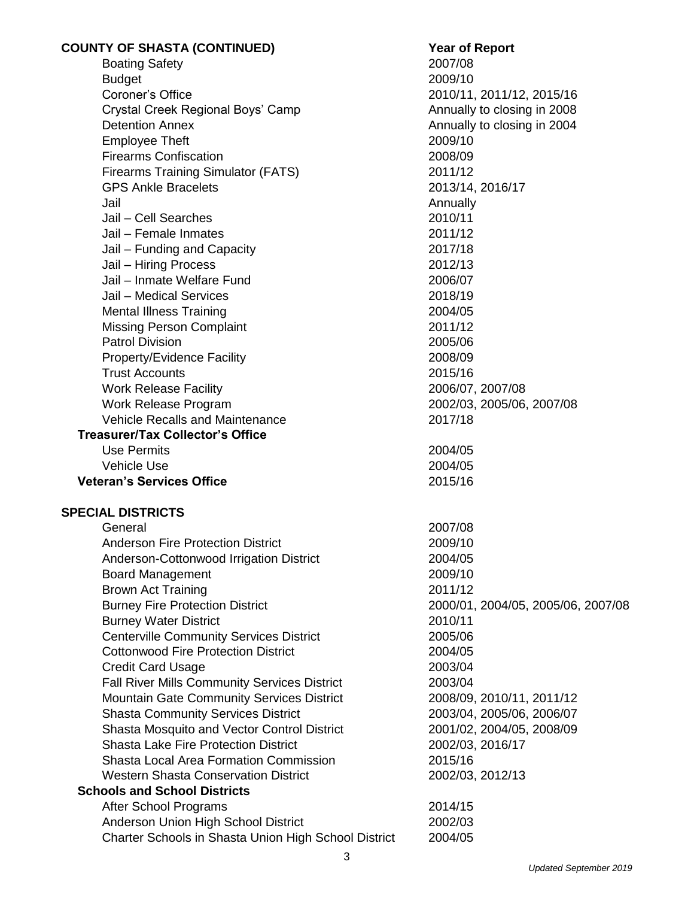| <b>COUNTY OF SHASTA (CONTINUED)</b>                  | <b>Year of Report</b>              |
|------------------------------------------------------|------------------------------------|
| <b>Boating Safety</b>                                | 2007/08                            |
| <b>Budget</b>                                        | 2009/10                            |
| Coroner's Office                                     | 2010/11, 2011/12, 2015/16          |
| Crystal Creek Regional Boys' Camp                    | Annually to closing in 2008        |
| <b>Detention Annex</b>                               | Annually to closing in 2004        |
| <b>Employee Theft</b>                                | 2009/10                            |
| <b>Firearms Confiscation</b>                         | 2008/09                            |
| <b>Firearms Training Simulator (FATS)</b>            | 2011/12                            |
| <b>GPS Ankle Bracelets</b>                           | 2013/14, 2016/17                   |
| Jail                                                 | Annually                           |
| Jail - Cell Searches                                 | 2010/11                            |
| Jail - Female Inmates                                | 2011/12                            |
| Jail - Funding and Capacity                          | 2017/18                            |
| Jail - Hiring Process                                | 2012/13                            |
| Jail - Inmate Welfare Fund                           | 2006/07                            |
| Jail - Medical Services                              | 2018/19                            |
| <b>Mental Illness Training</b>                       | 2004/05                            |
| <b>Missing Person Complaint</b>                      | 2011/12                            |
| <b>Patrol Division</b>                               | 2005/06                            |
| <b>Property/Evidence Facility</b>                    | 2008/09                            |
| <b>Trust Accounts</b>                                | 2015/16                            |
| <b>Work Release Facility</b>                         | 2006/07, 2007/08                   |
| Work Release Program                                 | 2002/03, 2005/06, 2007/08          |
| <b>Vehicle Recalls and Maintenance</b>               | 2017/18                            |
| <b>Treasurer/Tax Collector's Office</b>              |                                    |
| <b>Use Permits</b>                                   | 2004/05                            |
| <b>Vehicle Use</b>                                   | 2004/05                            |
| <b>Veteran's Services Office</b>                     | 2015/16                            |
| <b>SPECIAL DISTRICTS</b>                             |                                    |
| General                                              | 2007/08                            |
| <b>Anderson Fire Protection District</b>             | 2009/10                            |
| Anderson-Cottonwood Irrigation District              | 2004/05                            |
| <b>Board Management</b>                              | 2009/10                            |
| <b>Brown Act Training</b>                            | 2011/12                            |
| <b>Burney Fire Protection District</b>               | 2000/01, 2004/05, 2005/06, 2007/08 |
| <b>Burney Water District</b>                         | 2010/11                            |
| <b>Centerville Community Services District</b>       | 2005/06                            |
| <b>Cottonwood Fire Protection District</b>           | 2004/05                            |
| <b>Credit Card Usage</b>                             | 2003/04                            |
| <b>Fall River Mills Community Services District</b>  | 2003/04                            |
| <b>Mountain Gate Community Services District</b>     | 2008/09, 2010/11, 2011/12          |
| <b>Shasta Community Services District</b>            | 2003/04, 2005/06, 2006/07          |
| Shasta Mosquito and Vector Control District          | 2001/02, 2004/05, 2008/09          |
| <b>Shasta Lake Fire Protection District</b>          | 2002/03, 2016/17                   |
| <b>Shasta Local Area Formation Commission</b>        | 2015/16                            |
| <b>Western Shasta Conservation District</b>          | 2002/03, 2012/13                   |
| <b>Schools and School Districts</b>                  |                                    |
| <b>After School Programs</b>                         | 2014/15                            |
| Anderson Union High School District                  | 2002/03                            |
| Charter Schools in Shasta Union High School District | 2004/05                            |